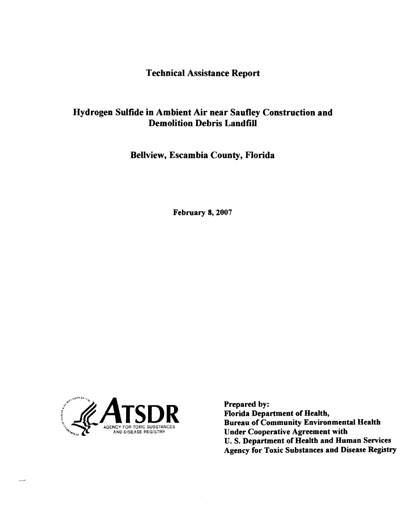# Technical Assistance Report

# Hydrogen Sulfide in Ambient Air near Saufley Construction and Demolition Debris Landfill

Bellview, Escambia County, Florida

February 8, 2007



Prepared by: Florida Department of Health, Bureau of Community Environmental Health Under Cooperative Agreement with U. S. Department of Health and Human Services Agency for Toxic Substances and Disease Registry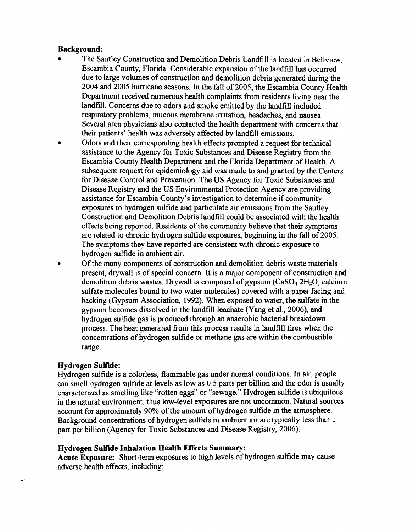## Background:

- The Saufley Construction and Demolition Debris Landfill is located in Bellview, Escambia County, Florida. Considerable expansion of the landfill has occurred due to large volumes of construction and demolition debris generated during the 2004 and 2005 hurricane seasons. In the fall of 2005, the Escambia County Health Department received numerous health complaints from residents living near the landfill. Concerns due to odors and smoke emitted by the landfill included respiratory problems, mucous membrane irritation, headaches, and nausea. Several area physicians also contacted the health department with concerns that their patients' health was adversely affected by landfill emissions.
- Odors and their corresponding health effects prompted a request for technical assistance to the Agency for Toxic Substances and Disease Registry from the Escambia County Health Department and the Florida Department of Health. A subsequent request for epidemiology aid was made to and granted by the Centers for Disease Control and Prevention. The US Agency for Toxic Substances and Disease Registry and the US Environmental Protection Agency are providing assistance for Escambia County's investigation to determine if community exposures to hydrogen sulfide and particulate air emissions from the Saufley Construction and Demolition Debris landfill could be associated with the health effects being reported. Residents of the community believe that their symptoms are related to chronic hydrogen sulfide exposures, beginning in the fall of 2005. The symptoms they have reported are consistent with chronic exposure to hydrogen sulfide in ambient air.
- Of the many components of construction and demolition debris waste materials present, drywall is of special concern. It is a major component of construction and demolition debris wastes. Drywall is composed of gypsum  $(CaSO<sub>4</sub> 2H<sub>2</sub>O$ , calcium sulfate molecules bound to two water molecules) covered with a paper facing and backing (Gypsum Association, 1992). When exposed to water, the sulfate in the gypsum becomes dissolved in the landfill leachate (Yang et aI., 2006), and hydrogen sulfide gas is produced through an anaerobic bacterial breakdown process. The heat generated from this process results in landfill fires when the concentrations of hydrogen sulfide or methane gas are within the combustible range.

## Hydrogen Sulfide:

Hydrogen sulfide is a colorless, flammable gas under normal conditions. In air, people can smell hydrogen sulfide at levels as low as 0.5 parts per billion and the odor is usually characterized as smelling like "rotten eggs" or "sewage." Hydrogen sulfide is ubiquitous in the natural environment, thus low-level exposures are not uncommon. Natural sources account for approximately 90% of the amount of hydrogen sulfide in the atmosphere. Background concentrations of hydrogen sulfide in ambient air are typically less than 1 part per billion (Agency for Toxic Substances and Disease Registry, 2006).

## Hydrogen Sulfide Inhalation Health Effects Summary:

Acute Exposure: Short-term exposures to high levels of hydrogen sulfide may cause adverse health effects, including: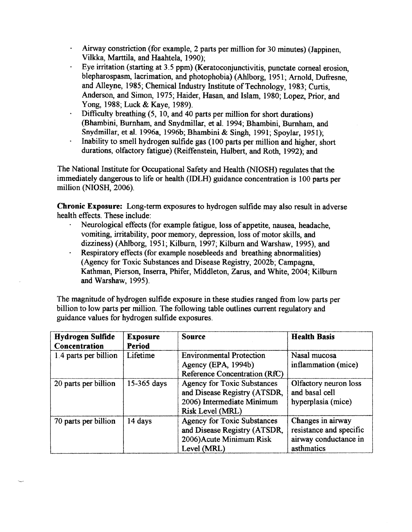- Airway constriction (for example, 2 parts per million for 30 minutes) (Jappinen, Vilkka, Marttila, and Haahtela, 1990);
- Eye irritation (starting at 3.5 ppm) (Keratoconjunctivitis, punctate corneal erosion, blepharospasm, lacrimation, and photophobia) (Ahlborg, 1951; Arnold, Dufresne, and Alleyne, 1985; Chemical Industry Institute of Technology, 1983; Curtis, Anderson, and Simon, 1975; Haider, Hasan, and Islam, 1980; Lopez, Prior, and Yong, 1988; Luck & Kaye, 1989).
- Difficulty breathing (5, 10, and 40 parts per million for short durations) (Bhambini, Burnham, and Snydmillar, et al. 1994; Bhambini, Burnham, and Snydmillar, et al. 1996a, 1996b; Bhambini & Singh, 1991; Spoylar, 1951);
- Inability to smell hydrogen sulfide gas (100 parts per million and higher, short durations, olfactory fatigue) (Reiffenstein, Hulbert, and Roth, 1992); and

The National Institute for Occupational Safety and Health (NIOSH) regulates that the immediately dangerous to life or health (IDLH) guidance concentration is 100 parts per million (NIOSH, 2006).

**Chronic Exposure:** Long-term exposures to hydrogen sulfide may also result in adverse health effects. These include:

- Neurological effects (for example fatigue, loss of appetite, nausea, headache, vomiting, irritability, poor memory, depression, loss of motor skills, and dizziness) (Ahlborg, 1951; Kilburn, 1997; Kilburn and Warshaw, 1995), and
- Respiratory effects (for example nosebleeds and breathing abnormalities) (Agency for Toxic Substances and Disease Registry, 2002b; Campagna, Kathman, Pierson, Inserra, Phifer, Middleton, Zarus, and White, 2004; Kilburn and Warshaw, 1995).

The magnitude of hydrogen sulfide exposure in these studies ranged from low parts per billion to low parts per million. The following table outlines current regulatory and guidance values for hydrogen sulfide exposures.

| <b>Hydrogen Sulfide</b><br>Concentration | <b>Exposure</b><br><b>Period</b> | <b>Source</b>                                                                                                 | <b>Health Basis</b>                                                                 |
|------------------------------------------|----------------------------------|---------------------------------------------------------------------------------------------------------------|-------------------------------------------------------------------------------------|
| 1.4 parts per billion                    | Lifetime                         | <b>Environmental Protection</b><br>Agency (EPA, 1994b)<br>Reference Concentration (RfC)                       | Nasal mucosa<br>inflammation (mice)                                                 |
| 20 parts per billion                     | 15-365 days                      | Agency for Toxic Substances<br>and Disease Registry (ATSDR,<br>2006) Intermediate Minimum<br>Risk Level (MRL) | Olfactory neuron loss<br>and basal cell<br>hyperplasia (mice)                       |
| 70 parts per billion                     | 14 days                          | Agency for Toxic Substances<br>and Disease Registry (ATSDR,<br>2006) Acute Minimum Risk<br>Level (MRL)        | Changes in airway<br>resistance and specific<br>airway conductance in<br>asthmatics |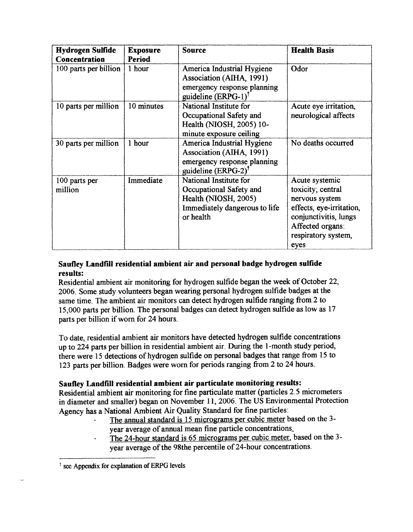| <b>Hydrogen Sulfide</b><br><b>Concentration</b> | <b>Exposure</b><br><b>Period</b> | <b>Source</b>                                                                                                              | <b>Health Basis</b>                                                                                                                                           |
|-------------------------------------------------|----------------------------------|----------------------------------------------------------------------------------------------------------------------------|---------------------------------------------------------------------------------------------------------------------------------------------------------------|
| 100 parts per billion                           | 1 hour                           | America Industrial Hygiene<br>Association (AIHA, 1991)<br>emergency response planning<br>guideline $(ERPG-1)$ <sup>†</sup> | Odor                                                                                                                                                          |
| 10 parts per million                            | 10 minutes                       | National Institute for<br>Occupational Safety and<br>Health (NIOSH, 2005) 10-<br>minute exposure ceiling                   | Acute eye irritation,<br>neurological affects                                                                                                                 |
| 30 parts per million                            | 1 hour                           | America Industrial Hygiene<br>Association (AIHA, 1991)<br>emergency response planning<br>guideline $(ERPG-2)$ <sup>†</sup> | No deaths occurred                                                                                                                                            |
| 100 parts per<br>million                        | Immediate                        | National Institute for<br>Occupational Safety and<br>Health (NIOSH, 2005)<br>Immediately dangerous to life<br>or health    | Acute systemic<br>toxicity; central<br>nervous system<br>effects, eye-irritation,<br>conjunctivitis, lungs<br>Affected organs:<br>respiratory system,<br>eyes |

## **Sauney Landfill residential ambient air and personal badge hydrogen sulfide results:**

Residential ambient air monitoring for hydrogen sulfide began the week of October 22, 2006. Some study volunteers began wearing personal hydrogen sulfide badges at the same time. The ambient air monitors can detect hydrogen sulfide ranging from 2 to 15,000 parts per billion. The personal badges can detect hydrogen sulfide as low as 17 parts per billion if worn for 24 hours.

To date, residential ambient air monitors have detected hydrogen sulfide concentrations up to 224 parts per billion in residential ambient air. During the I-month study period, there were 15 detections of hydrogen sulfide on personal badges that range from 15 to 123 parts per billion. Badges were worn for periods ranging from 2 to 24 hours.

## Saufley Landfill residential ambient air particulate monitoring results:

Residential ambient air monitoring for fine particulate matter (particles 2.5 micrometers in diameter and smaller) began on November 11, 2006. The US Environmental Protection Agency has a National Ambient Air Quality Standard for fine particles:

- The annual standard is 15 micrograms per cubic meter based on the 3 year average of annual mean fine particle concentrations.
	- The 24-hour standard is 65 micrograms per cubic meter, based on the 3 year average of the 98the percentile of 24-hour concentrations.

 $\dagger$  see Appendix for explanation of ERPG levels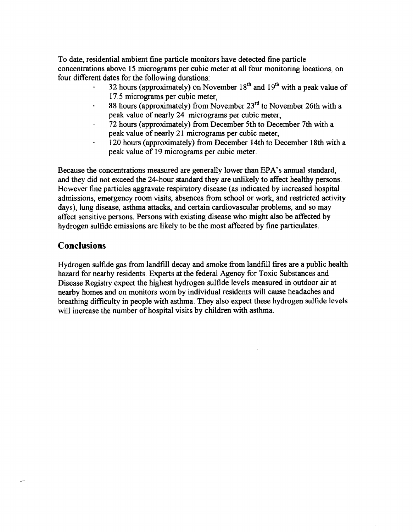To date, residential ambient fine particle monitors have detected fine particle concentrations above 15 micrograms per cubic meter at all four monitoring locations, on four different dates for the following durations:

- 32 hours (approximately) on November  $18<sup>th</sup>$  and  $19<sup>th</sup>$  with a peak value of 17.5 micrograms per cubic meter,
- 88 hours (approximately) from November  $23<sup>rd</sup>$  to November 26th with a peak value of nearly 24 micrograms per cubic meter,
- 72 hours ( approximately) from December 5th to December 7th with a peak value of nearly 21 micrograms per cubic meter,
- 120 hours (approximately) from December 14th to December 18th with a peak value of 19 micrograms per cubic meter.

Because the concentrations measured are generally lower than EPA's annual standard, and they did not exceed the 24-hour standard they are unlikely to affect healthy persons. However fine particles aggravate respiratory disease (as indicated by increased hospital admissions, emergency room visits, absences from school or work, and restricted activity days), lung disease, asthma attacks, and certain cardiovascular problems, and so may affect sensitive persons. Persons with existing disease who might also be affected by hydrogen sulfide emissions are likely to be the most affected by fine particulates.

## **Conclusions**

Hydrogen sulfide gas from landfill decay and smoke from landfill fires are a public health hazard for nearby residents. Experts at the federal Agency for Toxic Substances and Disease Registry expect the highest hydrogen sulfide levels measured in outdoor air at nearby homes and on monitors worn by individual residents will cause headaches and breathing difficulty in people with asthma. They also expect these hydrogen sulfide levels will increase the number of hospital visits by children with asthma.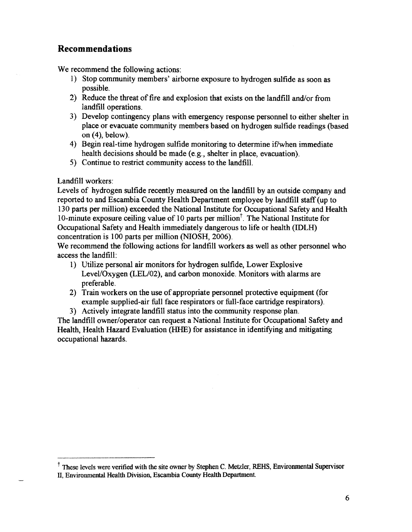# **Recommendations**

We recommend the following actions:

- 1) Stop community members' airborne exposure to hydrogen sulfide as soon as possible.
- 2) Reduce the threat of fire and explosion that exists on the landfill and/or from landfill operations.
- 3) Develop contingency plans with emergency response personnel to either shelter in place or evacuate community members based on hydrogen sulfide readings (based on (4), below).
- 4) Begin real-time hydrogen sulfide monitoring to determine if/when immediate health decisions should be made (e.g., shelter in place, evacuation).
- 5) Continue to restrict community access to the landfill.

Landfill workers:

Levels of hydrogen sulfide recently measured on the landfill by an outside company and reported to and Escambia County Health Department employee by landfill staff (up to 130 parts per million) exceeded the National Institute for Occupational Safety and Health 10-minute exposure ceiling value of 10 parts per million<sup>†</sup>. The National Institute for Occupational Safety and Health immediately dangerous to life or health (IDLH) concentration is 100 parts per million (NIOSH, 2006).

We recommend the following actions for landfill workers as well as other personnel who access the landfill:

- 1) Utilize personal air monitors for hydrogen sulfide, Lower Explosive Level/Oxygen (LEL/02), and carbon monoxide. Monitors with alarms are preferable.
- 2) Train workers on the use of appropriate personnel protective equipment (for example supplied-air full face respirators or full-face cartridge respirators).

3) Actively integrate landfill status into the community response plan.

The landfill owner/operator can request a National Institute for Occupational Safety and Health, Health Hazard Evaluation (HHE) for assistance in identifying and mitigating occupational hazards.

t These levels were verified with the site owner by Stephen C. Metzler, REHS, Environmental Supervisor II. Environmental Health Division. Escambia County Health Department.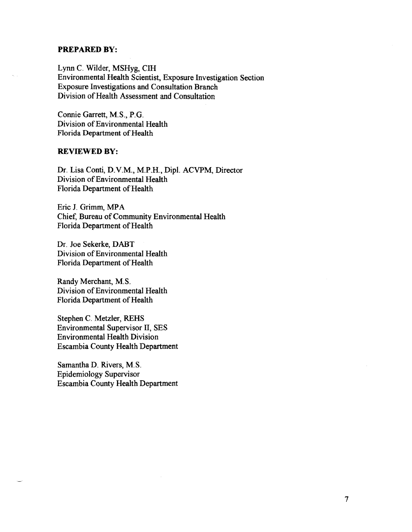#### **PREPARED BY:**

Lynn C. Wilder, MSHyg, CIH Environmental Health Scientist, Exposure Investigation Section Exposure Investigations and Consultation Branch Division of Health Assessment and Consultation

Connie Garrett, M.S., P.G. Division of Environmental Health Florida Department of Health

#### **REVIEWED BY:**

Dr. Lisa Conti, D.V.M., M.P.H., Dip!. ACVPM, Director Division of Environmental Health Florida Department of Health

Eric J. Grimm, MPA Chief, Bureau of Community Environmental Health Florida Department of Health

Dr. Joe Sekerke, DABT Division of Environmental Health Florida Department of Health

Randy Merchant, M.S. Division of Environmental Health Florida Department of Health

Stephen C. Metzler, REHS Environmental Supervisor II, SES Environmental Health Division Escambia County Health Department

Samantha D. Rivers, M.S. Epidemiology Supervisor Escambia County Health Department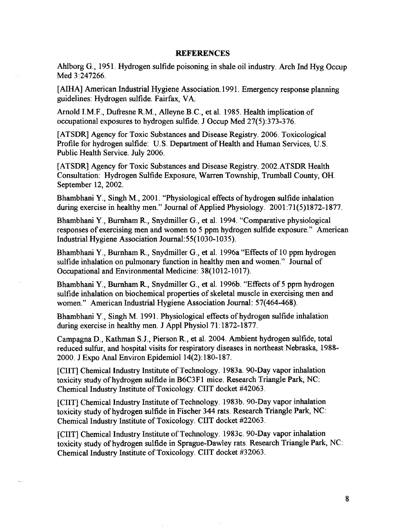#### REFERENCES

Ahlborg G., 1951. Hydrogen sulfide poisoning in shale oil industry. Arch Ind Hyg Occup Med 3:247266.

[AIHA] American Industrial Hygiene Association. 1991. Emergency response planning guidelines: Hydrogen sulfide. Fairfax, VA.

Arnold I.M.F., Dufresne R.M., Alleyne B.C., et al. 1985. Health implication of occupational exposures to hydrogen sulfide. J Occup Med 27(5):373-376.

[ATSDR] Agency for Toxic Substances and Disease Registry. 2006. Toxicological Profile for hydrogen sulfide: U.S. Department of Health and Human Services, U.S. Public Health Service. July 2006.

(ATSDR] Agency for Toxic Substances and Disease Registry. 2002.ATSDR Health Consultation: Hydrogen Sulfide Exposure, Warren Township, TrumbaIl County, OR. September 12,2002.

Bhambhani Y., Singh M., 2001. "Physiological effects of hydrogen sulfide inhalation during exercise in healthy men." Journal of Applied Physiology. 2001:71(5)1872-1877.

Bhambhani Y., Burnham R, Snydmiller G., et al. 1994. "Comparative physiological responses of exercising men and women to 5 ppm hydrogen sulfide exposure." American Industrial Hygiene Association Journal:55(1030-1035).

Bhambhani Y., Burnham R, Snydmiller G., et al. 1996a "Effects of 10 ppm hydrogen sulfide inhalation on pulmonary function in healthy men and women." Journal of Occupational and Environmental Medicine: 38(1012-1017).

Bhambhani Y., Burnham R, Snydmiller G., et al. 1996b. "Effects of 5 ppm hydrogen sulfide inhalation on biochemical properties of skeletal muscle in exercising men and women." American Industrial Hygiene Association Journal: 57(464-468).

Bhambhani Y., Singh M. 1991. Physiological effects of hydrogen sulfide inhalation during exercise in healthy men. J Appl Physiol 71:1872-1877.

Campagna D., Kathman S.1., Pierson R, et al. 2004. Ambient hydrogen sulfide, total reduced sulfur, and hospital visits for respiratory diseases in northeast Nebraska, 1988- 2000. JExpo Anal Environ Epidemiol 14(2):180-187.

[ClIT] Chemical Industry Institute of Technology. 1983a. 90-Day vapor inhalation toxicity study of hydrogen sulfide in B6C3Fl mice. Research Triangle Park, NC: Chemical Industry Institute of Toxicology. CIIT docket #42063.

[ClIT] Chemical Industry Institute of Technology. 1983b. 90-Day vapor inhalation toxicity study of hydrogen sulfide in Fischer 344 rats. Research Triangle Park, NC: Chemical Industry Institute of Toxicology. CIIT docket #22063.

[CIIT] Chemical Industry Institute of Technology. 1983c. 90-Day vapor inhalation toxicity study of hydrogen sulfide in Sprague-Dawley rats. Research Triangle Park, NC: Chemical Industry Institute of Toxicology. CIIT docket #32063.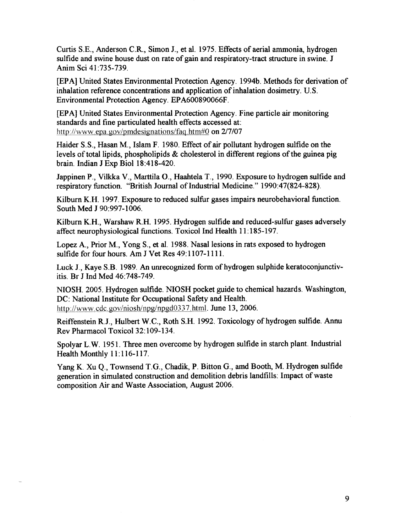Curtis S.E., Anderson C.R, Simon J., et al. 1975. Effects of aerial ammonia, hydrogen sulfide and swine house dust on rate of gain and respiratory-tract structure in swine. J Anim Sci 41:735-739.

[EPA] United States Environmental Protection Agency. 1994b. Methods for derivation of inhalation reference concentrations and application of inhalation dosimetry. U.S. Environmental Protection Agency. EP A600890066F.

[EPA] United States Environmental Protection Agency. Fine particle air monitoring standards and fine particulated health effects accessed at: http://www.epa.gov/pmdesignations/faq.htm#0 on  $2/7/07$ 

Haider S.S., Hasan M., Islam F. 1980. Effect of air pollutant hydrogen sulfide on the levels of total lipids, phospholipids & cholesterol in different regions of the guinea pig brain. Indian J Exp BioI 18:418-420.

Jappinen P., ViIkka V., Marttila 0., Haahtela T., 1990. Exposure to hydrogen sulfide and respiratory function. "British Journal of Industrial Medicine." 1990:47(824-828).

Kilburn K.H. 1997. Exposure to reduced sulfur gases impairs neurobehavioral function. South Med J 90:997-1006.

Kilburn K.H., Warshaw R.H. 1995. Hydrogen sulfide and reduced-sulfur gases adversely affect neurophysiological functions. Toxicol Ind Health 11: 185-197.

Lopez A., Prior M., Yong S., et al. 1988. Nasal lesions in rats exposed to hydrogen sulfide for four hours. Am J Vet Res 49:1107-1111.

Luck J., Kaye S.B. 1989. An unrecognized form of hydrogen sulphide keratoconjunctivitis. Br J Ind Med 46:748-749.

NIOSH. 2005. Hydrogen sulfide. NIOSH pocket guide to chemical hazards. Washington, DC: National Institute for Occupational Safety and Health.

http://www.cdc.gov/niosh/npg/npgd0337.html. June 13, 2006.

Reiffenstein RJ., Hulbert W.C., Roth S.H. 1992. Toxicology of hydrogen sulfide. Annu Rev Pharmacol Toxicol 32:109-134.

Spolyar L.W. 1951. Three men overcome by hydrogen sulfide in starch plant. Industrial Health Monthly 11:116-117.

Yang K. Xu Q., Townsend T.G., Chadik, P. Bitton G., amd Booth, M. Hydrogen sulfide generation in simulated construction and demolition debris landfills: Impact of waste composition Air and Waste Association, August 2006.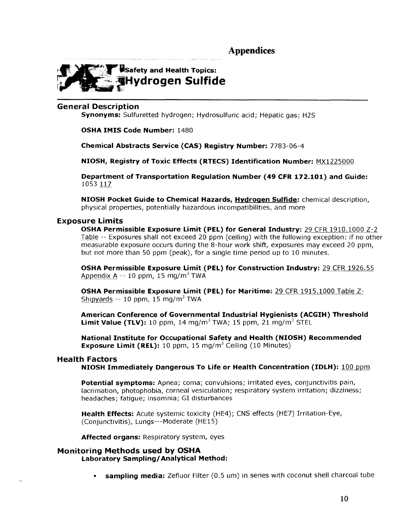

## **General Description**

**Synonyms:** Sulfuretted hydrogen; Hydrosulfuric acid; Hepatic gas; H2S

**OSHA IMIS Code Number:** 1480

**Chemical Abstracts Service (CAS) Registry Number:** 7783-06-4

**NIOSH, Registry of Toxic Effects (RTECS) Identification Number:** MXl225000

**Department of Transportation Regulation Number (49 CFR 172.101) and Guide:**  1053117

**NIOSH Pocket Guide to Chemical Hazards, Hydrogen Sulfide:** chemical description, physical properties, potentially hazardous incompatibilities, and more

#### **Exposure Limits**

**OSHA Permissible Exposure Limit (PEL) for General Industry:** 29 CFR 1910.1000 Z-2 Table -- Exposures shall not exceed 20 ppm (ceiling) with the following exception: if no other measurable exposure occurs during the 8-hour work shift, exposures may exceed 20 ppm, but not more than 50 ppm (peak), for a single time period up to 10 minutes.

**OSHA Permissible Exposure Limit (PEL) for Construction Industry:** 29 CFR 1926.55 Appendix A  $-10$  ppm, 15 mg/m<sup>3</sup> TWA

**OSHA Permissible Exposure Limit (PEL) for Maritime:** 29 CFR 1915.1000 Table Z-Shipyards  $-10$  ppm, 15 mg/m<sup>3</sup> TWA

**American Conference of Governmental Industrial Hygienists (ACGIH) Threshold Limit Value (TLV):** 10 ppm, 14 mg/m<sup>3</sup> TWA; 15 ppm, 21 mg/m<sup>3</sup> STEL

**National Institute for Occupational** Safety and **Health (NIOSH) Recommended Exposure Limit (REL):** 10 ppm, 15 mg/m<sup>3</sup> Ceiling (10 Minutes)

#### **Health Factors**

**NIOSH Immediately Dangerous To Life or Health Concentration (IDLH):** 100 ppm

**Potential symptoms:** Apnea; coma; convulsions; irritated eyes, conjunctivitis pain, lacrimation, photophobia, corneal vesiculation; respiratory system irritation; dizziness; headaches; fatigue; insomnia; GI disturbances

**Health Effects:** Acute systemic toxicity (HE4); CNS effects (HE7) Irritation-Eye, (Conjunctivitis), Lungs---Moderate (HE15)

Affected organs: Respiratory system, eyes

#### **Monitoring Methods used by OSHA Laboratory Sampling/Analytical Method:**

**• sampling media:** Zefluor Filter (0.5 um) in series with coconut shell charcoal tube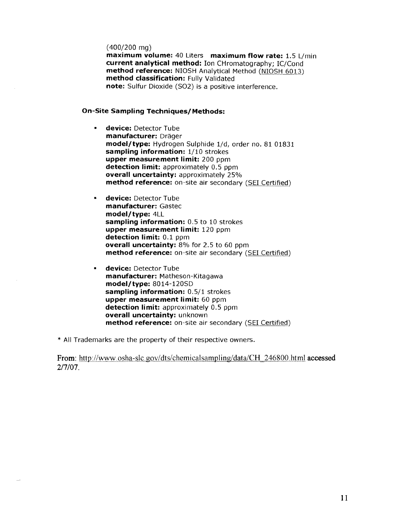(400/200 mg)

**maximum volume:** 40 Liters **maximum flow rate:** 1.5 L/min **current analytical method:** Ion CHromatography; IC/Cond **method reference:** NIOSH Analytical Method (NIOSH 6013) **method classification:** Fully Validated **note:** Sulfur Dioxide (S02) is a positive interference.

#### **On-Site Sampling Techniques/ Methods:**

- **device:** Detector Tube **manufacturer:** Drager model/type: Hydrogen Sulphide 1/d, order no. 81 01831 **sampling information:** *1/10* strokes **upper measurement limit:** 200 ppm **detection limit:** approximately 0.5 ppm **overall uncertainty:** approximately 25% **method reference:** on-site air secondary (SEI Certified)
- **device:** Detector Tube **manufacturer:** Gastec **model/type:** 4LL **sampling information:** 0.5 to 10 strokes **upper measurement limit:** 120 ppm **detection limit:** 0.1 ppm **overall uncertainty:** 8% for 2.5 to 60 ppm **method reference:** on-site air secondary (SEI Certified)
- **device:** Detector Tube **manufacturer:** Matheson-Kitagawa **model/type:** 8014-120SD **sampling information:** 0.5/1 strokes **upper measurement limit:** 60 ppm **detection limit:** approximately 0.5 ppm **overall uncertainty:** unknown **method reference:** on-site air secondary (SEI Certified)

\* All Trademarks are the property of their respective owners.

From: http://www.osha-slc.gov/dts/chemicalsampling/data/CH 246800.html accessed *2/7/07.*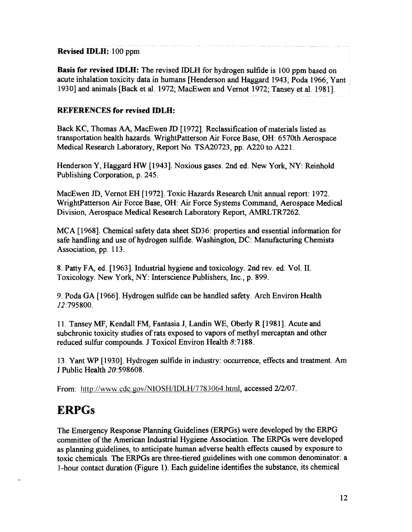## **Revised IDLH:** 100 ppm

**Basis for revised IDLH:** The revised IDLH for hydrogen sulfide is 100 ppm based on acute inhalation toxicity data in humans [Henderson and Haggard 1943; Poda 1966; Yant 1930] and animals [Back et aI. 1972; MacEwen and Vernot 1972; Tansey et a1. 1981].

## **REFERENCES for revised IDLH:**

Back KC, Thomas AA, MacEwen JD [1972]. Reclassification of materials listed as transportation health hazards. WrightPatterson Air Force Base, OH: 6570th Aerospace Medical Research Laboratory, Report No. TSA20723, pp. A220 to A221.

Henderson Y, Haggard HW [1943]. Noxious gases. 2nd ed. New York, NY: Reinhold Publishing Corporation, p. 245.

MacEwen JD, Vernot EH [1972]. Toxic Hazards Research Unit annual report: 1972. WrightPatterson Air Force Base, OH: Air Force Systems Command, Aerospace Medical Division, Aerospace Medical Research Laboratory Report, AMRLTR7262.

MCA [1968]. Chemical safety data sheet SD36: properties and essential information for safe handling and use of hydrogen sulfide. Washington, DC: Manufacturing Chemists Association, pp. 113.

8. Patty FA, ed. [1963]. Industrial hygiene and toxicology. 2nd rev. ed. Vol. II. Toxicology. New York, NY: Interscience Publishers, Inc., p. 899.

9. Poda GA [1966]. Hydrogen sulfide can be handled safety. Arch Environ Health 12:795800.

11. Tansey MF, Kendall FM, Fantasia J, Landin WE, Oberly R [1981]. Acute and sub chronic toxicity studies of rats exposed to vapors of methyl mercaptan and other reduced sulfur compounds. J Toxicol Environ Health 8:7188.

13. Yant WP [1930]. Hydrogen sulfide in industry: occurrence, effects and treatment. Am J Public Health *20:598608.* 

From: http://www.cdc.gov/NIOSH/IDLH/7783064.html, accessed 2/2/07.

# **ERPGs**

The Emergency Response Planning Guidelines (ERPGs) were developed by the ERPG committee of the American Industrial Hygiene Association. The ERPGs were developed as planning guidelines, to anticipate human adverse health effects caused by exposure to toxic chemicals. The ERPGs are three-tiered guidelines with one common denominator: a I-hour contact duration (Figure 1). Each guideline identifies the substance, its chemical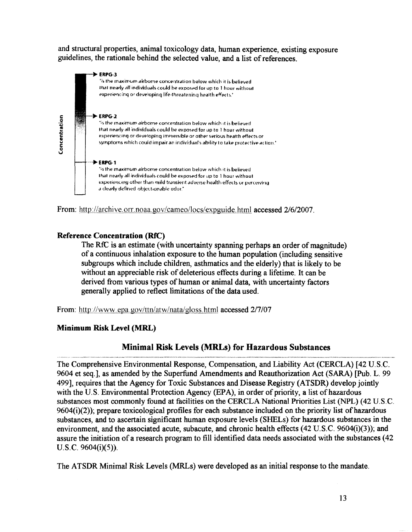and structural properties, animal toxicology data, human experience, existing exposure guidelines, the rationale behind the selected value, and a list of references.



From: http://archive.orr.noaa.gov/cameo/locs/ expguide.html accessed 2/6/2007.

## **Reference Concentration (RfC)**

The RfC is an estimate (with uncertainty spanning perhaps an order of magnitude) of a continuous inhalation exposure to the human population (including sensitive subgroups which include children, asthmatics and the elderly) that is likely to be without an appreciable risk of deleterious effects during a lifetime. It can be derived from various types of human or animal data, with uncertainty factors generally applied to reflect limitations of the data used.

From: http://www.epa.gov/ttn/atw/nata/gloss.html accessed 2/7/07

## **Minimum Risk Level (MRL)**

## **Minimal Risk Levels (MRLs) for Hazardous Substances**

The Comprehensive Environmental Response, Compensation, and Liability Act (CERCLA) [42 U.S.C. 9604 et seq.], as amended by the Superfund Amendments and Reauthorization Act (SARA) [Pub. L. 99 499], requires that the Agency for Toxic Substances and Disease Registry (ATSDR) develop jointly with the U.S. Environmental Protection Agency (EPA), in order of priority, a list of hazardous substances most commonly found at facilities on the CERCLA National Priorities List (NPL) (42 U.S.C. 9604(i)(2)); prepare toxicological profiles for each substance included on the priority list of hazardous substances, and to ascertain significant human exposure levels (SHELs) for hazardous substances in the environment, and the associated acute, subacute, and chronic health effects (42 U.S.C. 9604(i)(3)); and assure the initiation of a research program to fill identified data needs associated with the substances (42  $U.S.C. 9604(i)(5)$ .

The ATSDR Minimal Risk Levels (MRLs) were developed as an initial response to the mandate.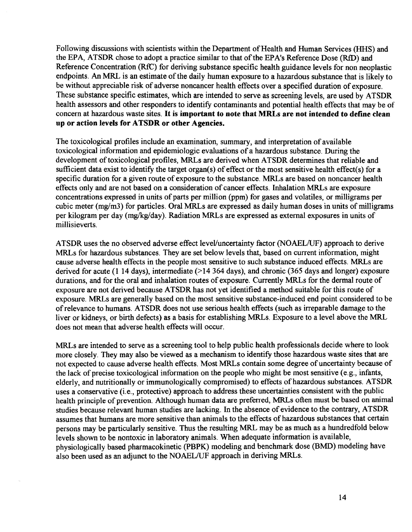Following discussions with scientists within the Department of Health and Human Services (HHS) and the EPA, ATSDR chose to adopt a practice similar to that of the EPA's Reference Dose (RID) and Reference Concentration (RiC) for deriving substance specific health guidance levels for non neoplastic endpoints. An MRL is an estimate of the daily human exposure to a hazardous substance that is likely to be without appreciable risk of adverse noncancer health effects over a specified duration of exposure. These substance specific estimates, which are intended to serve as screening levels, are used by ATSDR health assessors and other responders to identify contaminants and potential health effects that may be of concern at hazardous waste sites. It is important to note that MRLs are not intended to define clean up or action levels for ATSDR or other Agencies.

The toxicological profiles include an examination, summary, and interpretation of available toxicological information and epidemiologic evaluations of a hazardous substance. During the development of toxicological profiles, MRLs are derived when ATSDR determines that reliable and sufficient data exist to identify the target organ(s) of effect or the most sensitive health effect(s) for a specific duration for a given route of exposure to the substance. MRLs are based on noncancer health effects only and are not based on a consideration of cancer effects. Inhalation MRLs are exposure concentrations expressed in units of parts per million (ppm) for gases and volatiles, or milligrams per cubic meter (mg/m3) for particles. Oral MRLs are expressed as daily human doses in units of milligrams per kilogram per day (mg/kg/day). Radiation MRLs are expressed as external exposures in units of millisieverts.

ATSDR uses the no observed adverse effect level/uncertainty factor (NOAELIUF) approach to derive MRLs for hazardous substances. They are set below levels that, based on current information, might cause adverse health effects in the people most sensitive to such substance induced effects. MRLs are derived for acute (1 14 days), intermediate (>14 364 days), and chronic (365 days and longer) exposure durations, and for the oral and inhalation routes of exposure. Currently MRLs for the dermal route of exposure are not derived because ATSDR has not yet identified a method suitable for this route of exposure. MRLs are generally based on the most sensitive substance-induced end point considered to be of relevance to humans. ATSDR does not use serious health effects (such as irreparable damage to the liver or kidneys, or birth defects) as a basis for establishing MRLs. Exposure to a level above the MRL does not mean that adverse health effects will occur.

MRLs are intended to serve as a screening tool to help public health professionals decide where to look more closely. They may also be viewed as a mechanism to identify those hazardous waste sites that are not expected to cause adverse health effects. Most MRLs contain some degree of uncertainty because of the lack of precise toxicological information on the people who might be most sensitive (e.g., infants, elderly, and nutritionally or immunologically compromised) to effects of hazardous substances. ATSDR uses a conservative (i.e., protective) approach to address these uncertainties consistent with the public health principle of prevention. Although human data are preferred, MRLs often must be based on animal studies because relevant human studies are lacking. In the absence of evidence to the contrary, ATSDR assumes that humans are more sensitive than animals to the effects of hazardous substances that certain persons may be particularly sensitive. Thus the resulting MRL may be as much as a hundredfold below levels shown to be nontoxic in laboratory animals. When adequate information is available, physiologically based pharmacokinetic (PBPK) modeling and benchmark dose (BMD) modeling have also been used as an adjunct to the NOAEL/UF approach in deriving MRLs.